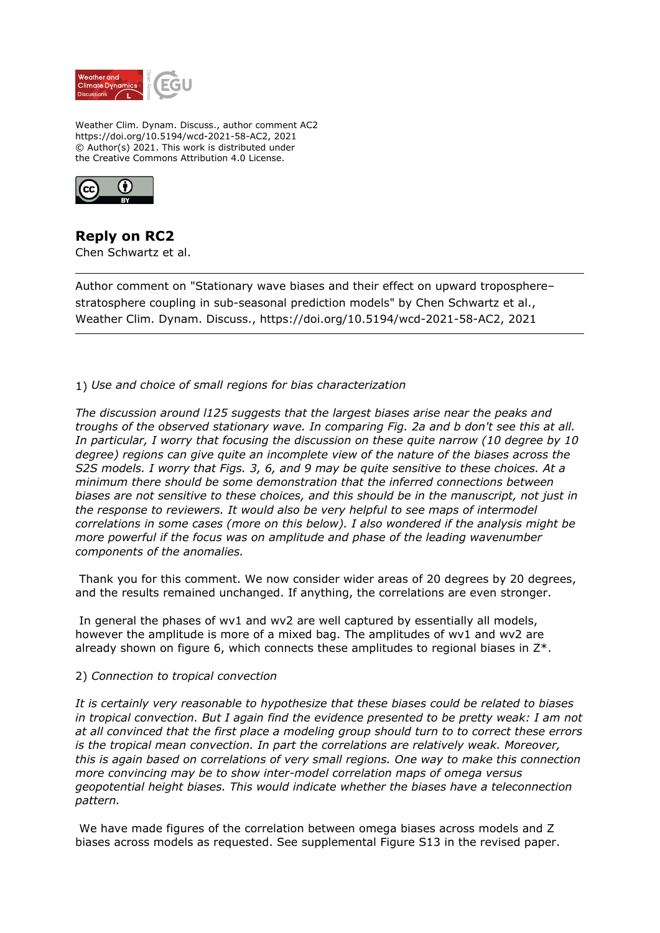

Weather Clim. Dynam. Discuss., author comment AC2 https://doi.org/10.5194/wcd-2021-58-AC2, 2021 © Author(s) 2021. This work is distributed under the Creative Commons Attribution 4.0 License.



**Reply on RC2** Chen Schwartz et al.

Author comment on "Stationary wave biases and their effect on upward troposphere– stratosphere coupling in sub-seasonal prediction models" by Chen Schwartz et al., Weather Clim. Dynam. Discuss., https://doi.org/10.5194/wcd-2021-58-AC2, 2021

1) *Use and choice of small regions for bias characterization*

*The discussion around l125 suggests that the largest biases arise near the peaks and troughs of the observed stationary wave. In comparing Fig. 2a and b don't see this at all. In particular, I worry that focusing the discussion on these quite narrow (10 degree by 10 degree) regions can give quite an incomplete view of the nature of the biases across the S2S models. I worry that Figs. 3, 6, and 9 may be quite sensitive to these choices. At a minimum there should be some demonstration that the inferred connections between biases are not sensitive to these choices, and this should be in the manuscript, not just in the response to reviewers. It would also be very helpful to see maps of intermodel correlations in some cases (more on this below). I also wondered if the analysis might be more powerful if the focus was on amplitude and phase of the leading wavenumber components of the anomalies.*

Thank you for this comment. We now consider wider areas of 20 degrees by 20 degrees, and the results remained unchanged. If anything, the correlations are even stronger.

 In general the phases of wv1 and wv2 are well captured by essentially all models, however the amplitude is more of a mixed bag. The amplitudes of wv1 and wv2 are already shown on figure 6, which connects these amplitudes to regional biases in Z\*.

## 2) *Connection to tropical convection*

*It is certainly very reasonable to hypothesize that these biases could be related to biases in tropical convection. But I again find the evidence presented to be pretty weak: I am not at all convinced that the first place a modeling group should turn to to correct these errors is the tropical mean convection. In part the correlations are relatively weak. Moreover, this is again based on correlations of very small regions. One way to make this connection more convincing may be to show inter-model correlation maps of omega versus geopotential height biases. This would indicate whether the biases have a teleconnection pattern.*

 We have made figures of the correlation between omega biases across models and Z biases across models as requested. See supplemental Figure S13 in the revised paper.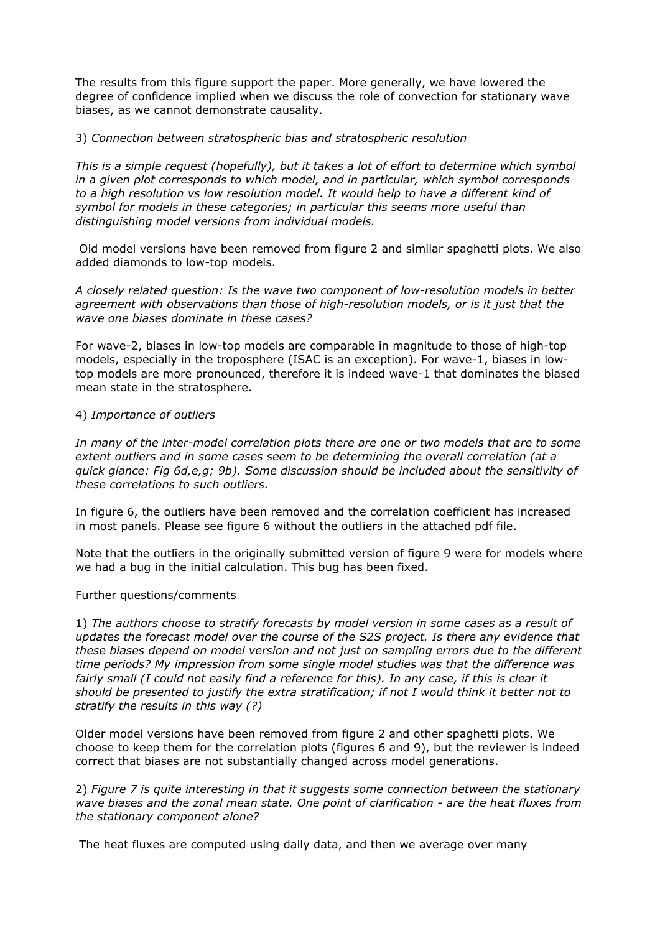The results from this figure support the paper. More generally, we have lowered the degree of confidence implied when we discuss the role of convection for stationary wave biases, as we cannot demonstrate causality.

## 3) *Connection between stratospheric bias and stratospheric resolution*

*This is a simple request (hopefully), but it takes a lot of effort to determine which symbol in a given plot corresponds to which model, and in particular, which symbol corresponds to a high resolution vs low resolution model. It would help to have a different kind of symbol for models in these categories; in particular this seems more useful than distinguishing model versions from individual models.*

 Old model versions have been removed from figure 2 and similar spaghetti plots. We also added diamonds to low-top models.

*A closely related question: Is the wave two component of low-resolution models in better agreement with observations than those of high-resolution models, or is it just that the wave one biases dominate in these cases?* 

For wave-2, biases in low-top models are comparable in magnitude to those of high-top models, especially in the troposphere (ISAC is an exception). For wave-1, biases in lowtop models are more pronounced, therefore it is indeed wave-1 that dominates the biased mean state in the stratosphere.

## 4) *Importance of outliers*

*In many of the inter-model correlation plots there are one or two models that are to some extent outliers and in some cases seem to be determining the overall correlation (at a quick glance: Fig 6d,e,g; 9b). Some discussion should be included about the sensitivity of these correlations to such outliers.* 

In figure 6, the outliers have been removed and the correlation coefficient has increased in most panels. Please see figure 6 without the outliers in the attached pdf file.

Note that the outliers in the originally submitted version of figure 9 were for models where we had a bug in the initial calculation. This bug has been fixed.

## Further questions/comments

1) *The authors choose to stratify forecasts by model version in some cases as a result of updates the forecast model over the course of the S2S project. Is there any evidence that these biases depend on model version and not just on sampling errors due to the different time periods? My impression from some single model studies was that the difference was fairly small (I could not easily find a reference for this). In any case, if this is clear it should be presented to justify the extra stratification; if not I would think it better not to stratify the results in this way (?)* 

Older model versions have been removed from figure 2 and other spaghetti plots. We choose to keep them for the correlation plots (figures 6 and 9), but the reviewer is indeed correct that biases are not substantially changed across model generations.

2) *Figure 7 is quite interesting in that it suggests some connection between the stationary wave biases and the zonal mean state. One point of clarification - are the heat fluxes from the stationary component alone?*

The heat fluxes are computed using daily data, and then we average over many